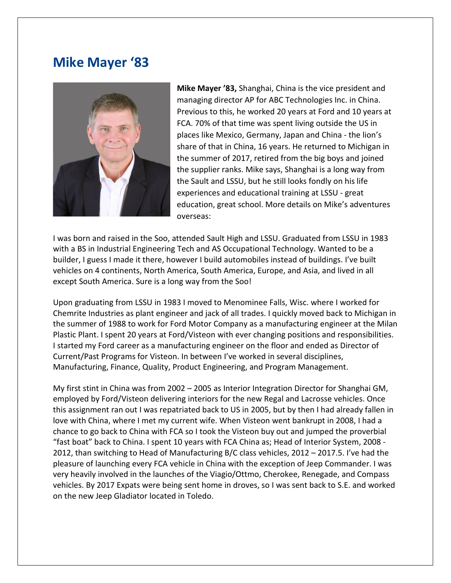## **Mike Mayer '83**



**Mike Mayer '83,** Shanghai, China is the vice president and managing director AP for ABC Technologies Inc. in China. Previous to this, he worked 20 years at Ford and 10 years at FCA. 70% of that time was spent living outside the US in places like Mexico, Germany, Japan and China - the lion's share of that in China, 16 years. He returned to Michigan in the summer of 2017, retired from the big boys and joined the supplier ranks. Mike says, Shanghai is a long way from the Sault and LSSU, but he still looks fondly on his life experiences and educational training at LSSU - great education, great school. More details on Mike's adventures overseas:

I was born and raised in the Soo, attended Sault High and LSSU. Graduated from LSSU in 1983 with a BS in Industrial Engineering Tech and AS Occupational Technology. Wanted to be a builder, I guess I made it there, however I build automobiles instead of buildings. I've built vehicles on 4 continents, North America, South America, Europe, and Asia, and lived in all except South America. Sure is a long way from the Soo!

Upon graduating from LSSU in 1983 I moved to Menominee Falls, Wisc. where I worked for Chemrite Industries as plant engineer and jack of all trades. I quickly moved back to Michigan in the summer of 1988 to work for Ford Motor Company as a manufacturing engineer at the Milan Plastic Plant. I spent 20 years at Ford/Visteon with ever changing positions and responsibilities. I started my Ford career as a manufacturing engineer on the floor and ended as Director of Current/Past Programs for Visteon. In between I've worked in several disciplines, Manufacturing, Finance, Quality, Product Engineering, and Program Management.

My first stint in China was from 2002 – 2005 as Interior Integration Director for Shanghai GM, employed by Ford/Visteon delivering interiors for the new Regal and Lacrosse vehicles. Once this assignment ran out I was repatriated back to US in 2005, but by then I had already fallen in love with China, where I met my current wife. When Visteon went bankrupt in 2008, I had a chance to go back to China with FCA so I took the Visteon buy out and jumped the proverbial "fast boat" back to China. I spent 10 years with FCA China as; Head of Interior System, 2008 - 2012, than switching to Head of Manufacturing B/C class vehicles, 2012 – 2017.5. I've had the pleasure of launching every FCA vehicle in China with the exception of Jeep Commander. I was very heavily involved in the launches of the Viagio/Ottmo, Cherokee, Renegade, and Compass vehicles. By 2017 Expats were being sent home in droves, so I was sent back to S.E. and worked on the new Jeep Gladiator located in Toledo.